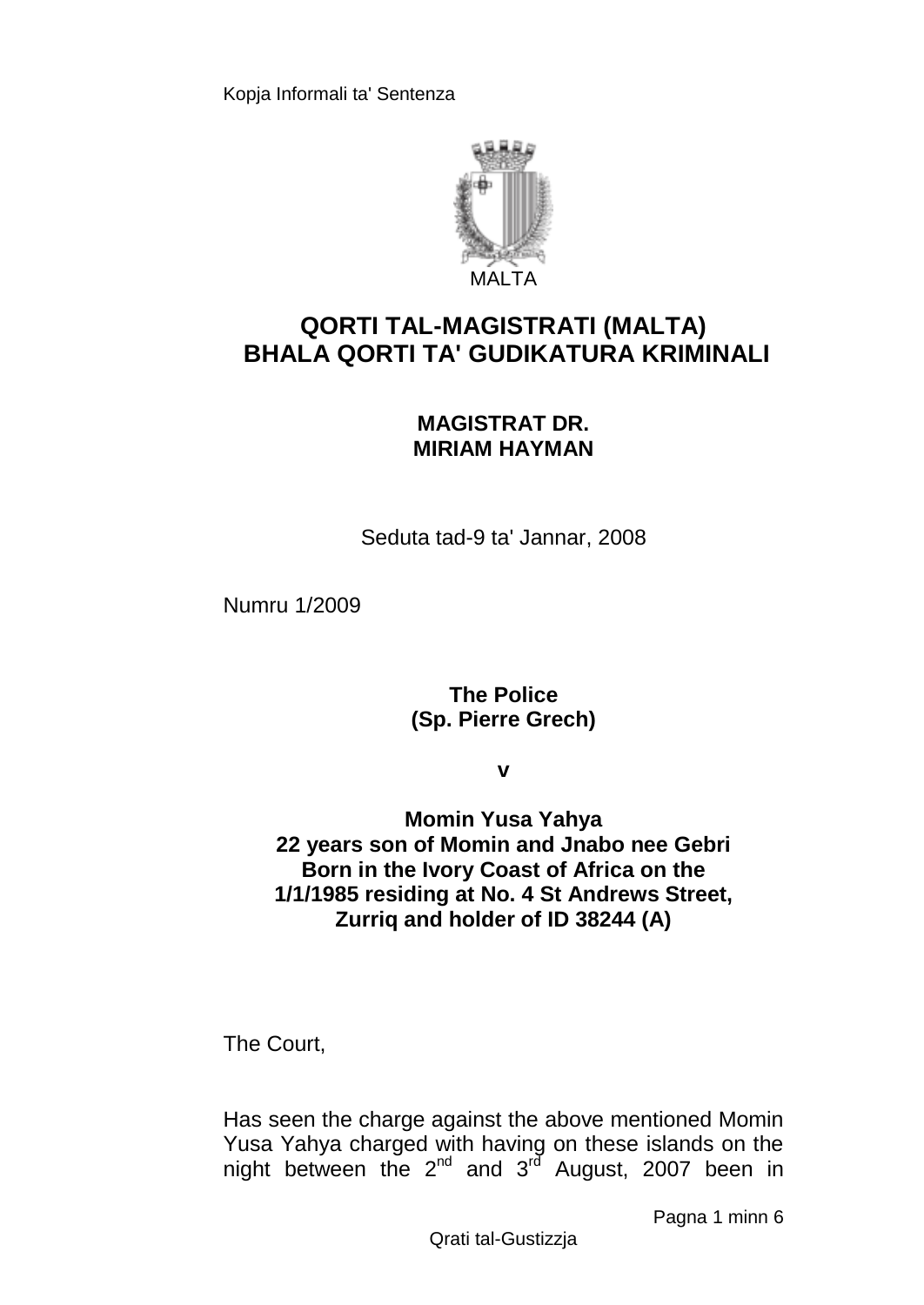

# **QORTI TAL-MAGISTRATI (MALTA) BHALA QORTI TA' GUDIKATURA KRIMINALI**

# **MAGISTRAT DR. MIRIAM HAYMAN**

Seduta tad-9 ta' Jannar, 2008

Numru 1/2009

**The Police (Sp. Pierre Grech)**

**v**

**Momin Yusa Yahya 22 years son of Momin and Jnabo nee Gebri Born in the Ivory Coast of Africa on the 1/1/1985 residing at No. 4 St Andrews Street, Zurriq and holder of ID 38244 (A)**

The Court,

Has seen the charge against the above mentioned Momin Yusa Yahya charged with having on these islands on the night between the 2<sup>nd</sup> and 3<sup>rd</sup> August, 2007 been in

Pagna 1 minn 6

Qrati tal-Gustizzja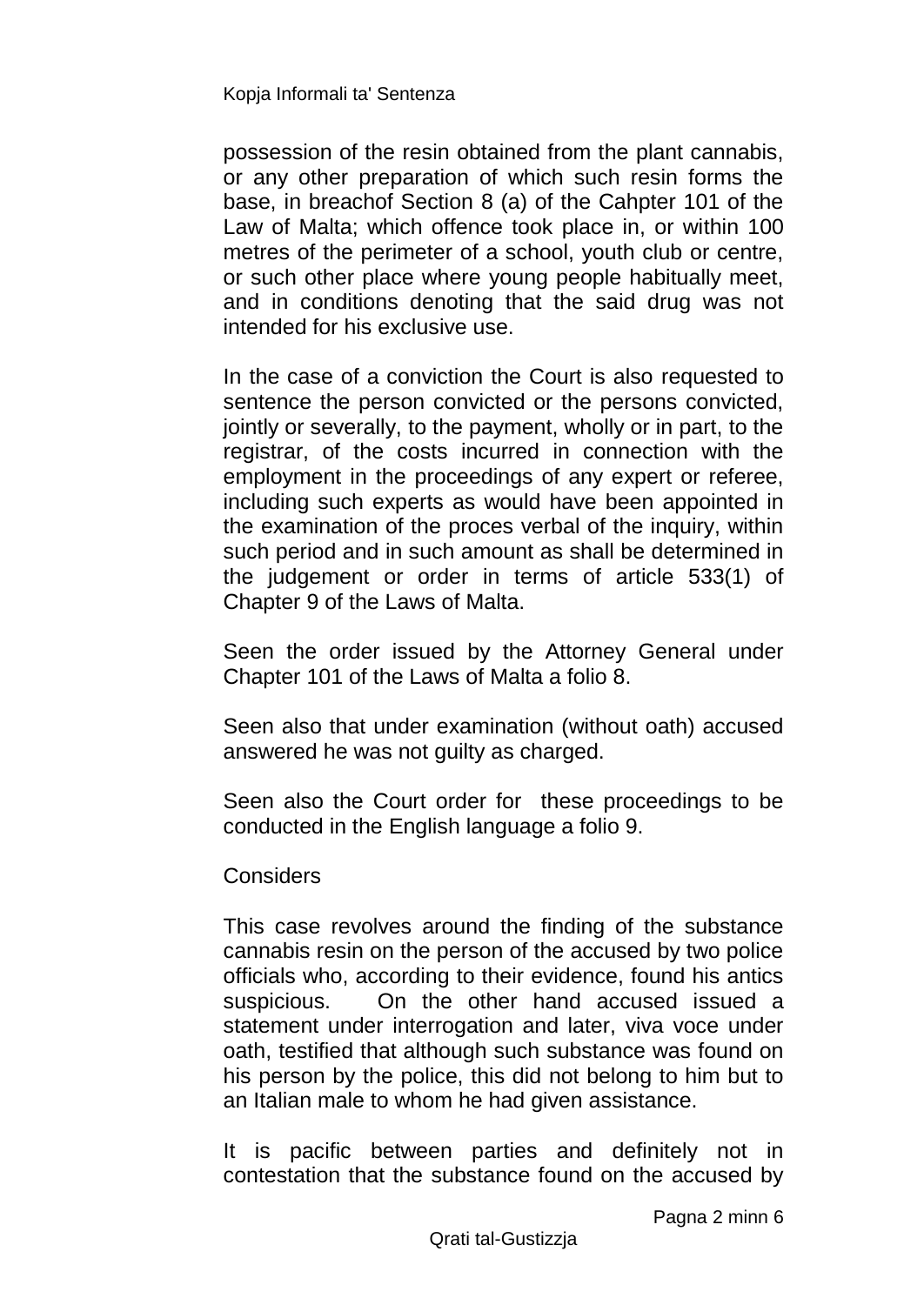possession of the resin obtained from the plant cannabis, or any other preparation of which such resin forms the base, in breachof Section 8 (a) of the Cahpter 101 of the Law of Malta; which offence took place in, or within 100 metres of the perimeter of a school, youth club or centre, or such other place where young people habitually meet, and in conditions denoting that the said drug was not intended for his exclusive use.

In the case of a conviction the Court is also requested to sentence the person convicted or the persons convicted, jointly or severally, to the payment, wholly or in part, to the registrar, of the costs incurred in connection with the employment in the proceedings of any expert or referee, including such experts as would have been appointed in the examination of the proces verbal of the inquiry, within such period and in such amount as shall be determined in the judgement or order in terms of article 533(1) of Chapter 9 of the Laws of Malta.

Seen the order issued by the Attorney General under Chapter 101 of the Laws of Malta a folio 8.

Seen also that under examination (without oath) accused answered he was not guilty as charged.

Seen also the Court order for these proceedings to be conducted in the English language a folio 9.

### **Considers**

This case revolves around the finding of the substance cannabis resin on the person of the accused by two police officials who, according to their evidence, found his antics suspicious. On the other hand accused issued a statement under interrogation and later, viva voce under oath, testified that although such substance was found on his person by the police, this did not belong to him but to an Italian male to whom he had given assistance.

It is pacific between parties and definitely not in contestation that the substance found on the accused by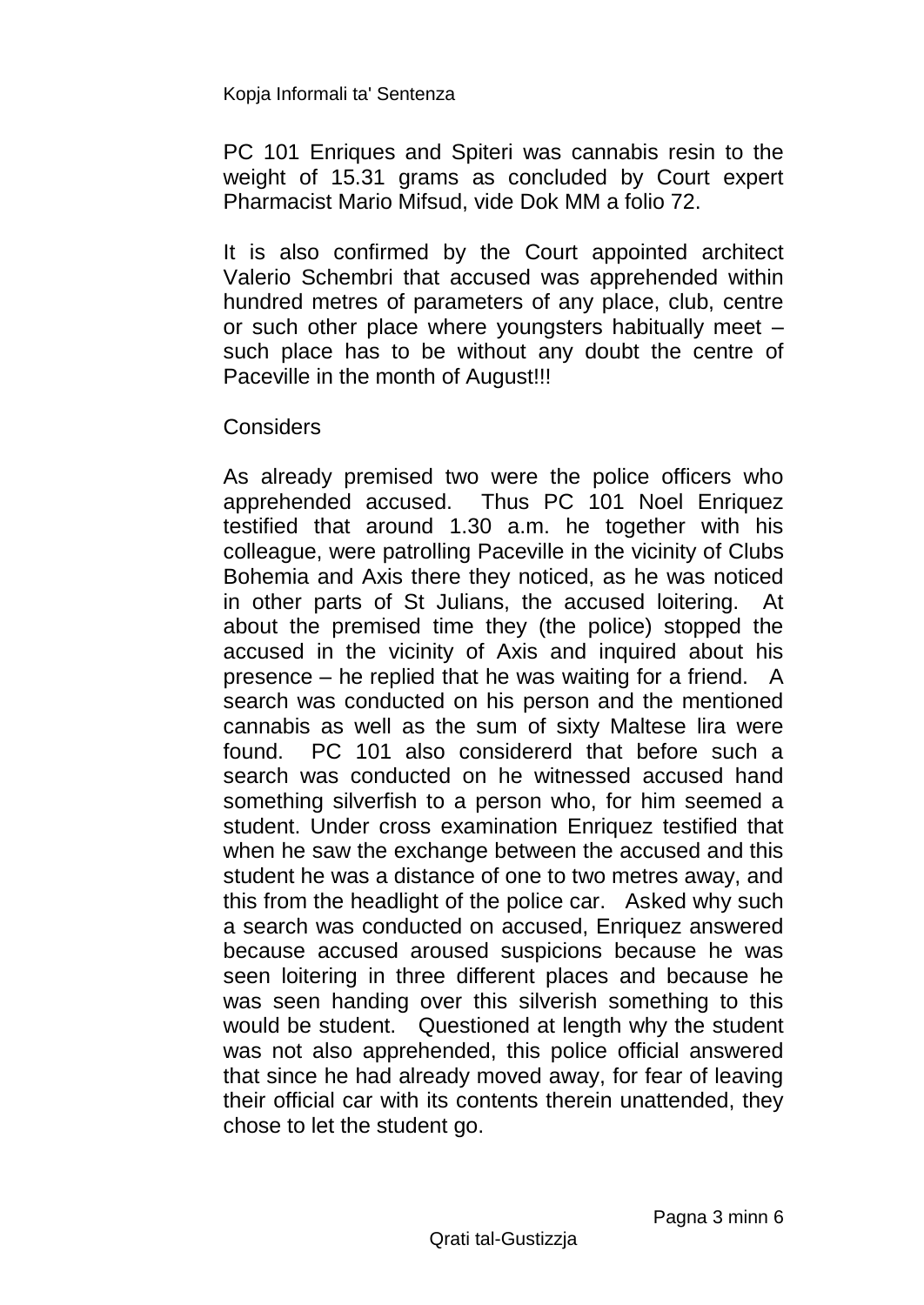PC 101 Enriques and Spiteri was cannabis resin to the weight of 15.31 grams as concluded by Court expert Pharmacist Mario Mifsud, vide Dok MM a folio 72.

It is also confirmed by the Court appointed architect Valerio Schembri that accused was apprehended within hundred metres of parameters of any place, club, centre or such other place where youngsters habitually meet – such place has to be without any doubt the centre of Paceville in the month of August!!!

## **Considers**

As already premised two were the police officers who apprehended accused. Thus PC 101 Noel Enriquez testified that around 1.30 a.m. he together with his colleague, were patrolling Paceville in the vicinity of Clubs Bohemia and Axis there they noticed, as he was noticed in other parts of St Julians, the accused loitering. At about the premised time they (the police) stopped the accused in the vicinity of Axis and inquired about his presence – he replied that he was waiting for a friend. A search was conducted on his person and the mentioned cannabis as well as the sum of sixty Maltese lira were found. PC 101 also considererd that before such a search was conducted on he witnessed accused hand something silverfish to a person who, for him seemed a student. Under cross examination Enriquez testified that when he saw the exchange between the accused and this student he was a distance of one to two metres away, and this from the headlight of the police car. Asked why such a search was conducted on accused, Enriquez answered because accused aroused suspicions because he was seen loitering in three different places and because he was seen handing over this silverish something to this would be student. Questioned at length why the student was not also apprehended, this police official answered that since he had already moved away, for fear of leaving their official car with its contents therein unattended, they chose to let the student go.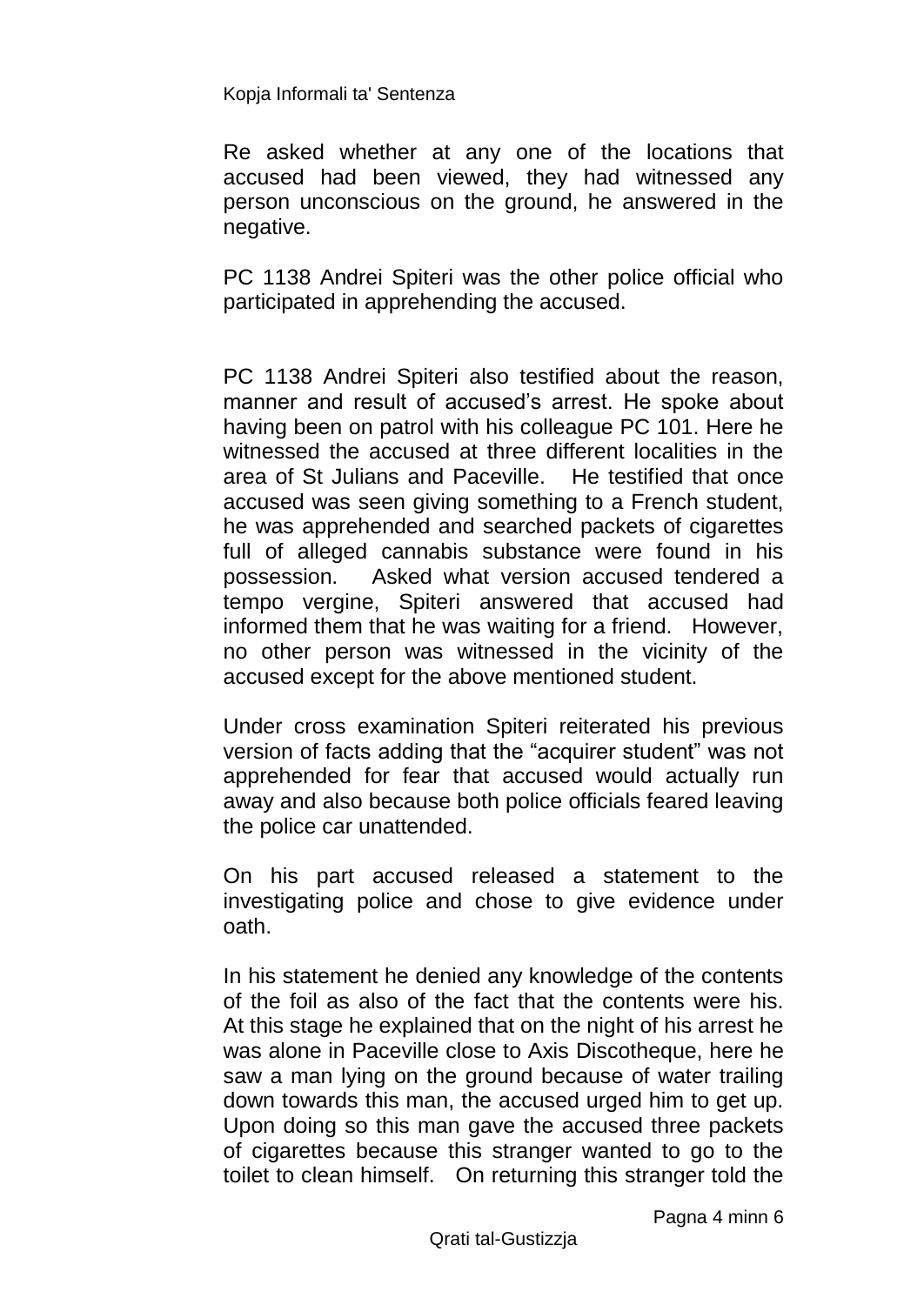Re asked whether at any one of the locations that accused had been viewed, they had witnessed any person unconscious on the ground, he answered in the negative.

PC 1138 Andrei Spiteri was the other police official who participated in apprehending the accused.

PC 1138 Andrei Spiteri also testified about the reason, manner and result of accused's arrest. He spoke about having been on patrol with his colleague PC 101. Here he witnessed the accused at three different localities in the area of St Julians and Paceville. He testified that once accused was seen giving something to a French student, he was apprehended and searched packets of cigarettes full of alleged cannabis substance were found in his possession. Asked what version accused tendered a tempo vergine, Spiteri answered that accused had informed them that he was waiting for a friend. However, no other person was witnessed in the vicinity of the accused except for the above mentioned student.

Under cross examination Spiteri reiterated his previous version of facts adding that the "acquirer student" was not apprehended for fear that accused would actually run away and also because both police officials feared leaving the police car unattended.

On his part accused released a statement to the investigating police and chose to give evidence under oath.

In his statement he denied any knowledge of the contents of the foil as also of the fact that the contents were his. At this stage he explained that on the night of his arrest he was alone in Paceville close to Axis Discotheque, here he saw a man lying on the ground because of water trailing down towards this man, the accused urged him to get up. Upon doing so this man gave the accused three packets of cigarettes because this stranger wanted to go to the toilet to clean himself. On returning this stranger told the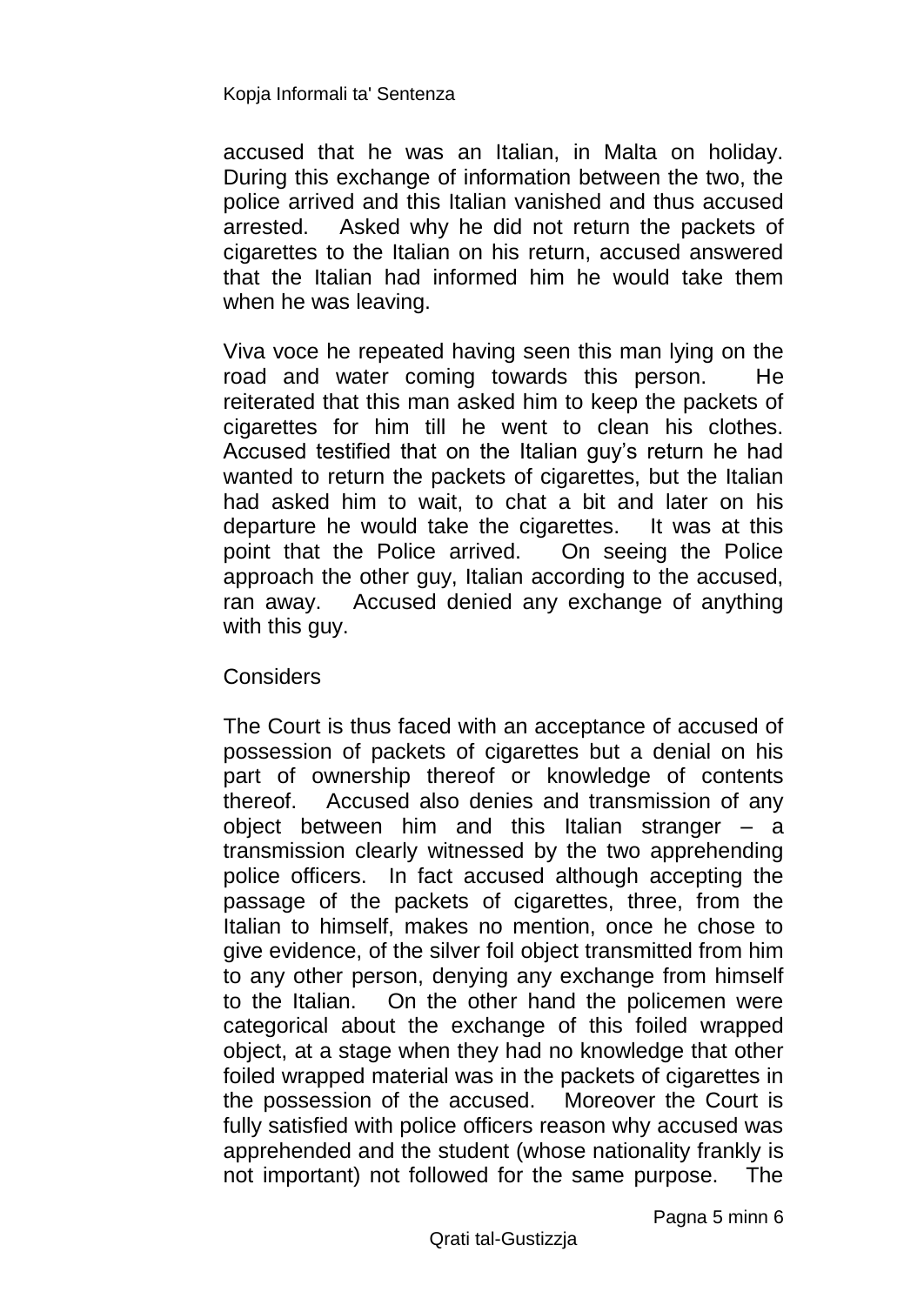accused that he was an Italian, in Malta on holiday. During this exchange of information between the two, the police arrived and this Italian vanished and thus accused arrested. Asked why he did not return the packets of cigarettes to the Italian on his return, accused answered that the Italian had informed him he would take them when he was leaving.

Viva voce he repeated having seen this man lying on the road and water coming towards this person. He reiterated that this man asked him to keep the packets of cigarettes for him till he went to clean his clothes. Accused testified that on the Italian guy's return he had wanted to return the packets of cigarettes, but the Italian had asked him to wait, to chat a bit and later on his departure he would take the cigarettes. It was at this point that the Police arrived. On seeing the Police approach the other guy, Italian according to the accused, ran away. Accused denied any exchange of anything with this guy.

### **Considers**

The Court is thus faced with an acceptance of accused of possession of packets of cigarettes but a denial on his part of ownership thereof or knowledge of contents thereof. Accused also denies and transmission of any object between him and this Italian stranger – a transmission clearly witnessed by the two apprehending police officers. In fact accused although accepting the passage of the packets of cigarettes, three, from the Italian to himself, makes no mention, once he chose to give evidence, of the silver foil object transmitted from him to any other person, denying any exchange from himself to the Italian. On the other hand the policemen were categorical about the exchange of this foiled wrapped object, at a stage when they had no knowledge that other foiled wrapped material was in the packets of cigarettes in the possession of the accused. Moreover the Court is fully satisfied with police officers reason why accused was apprehended and the student (whose nationality frankly is not important) not followed for the same purpose. The